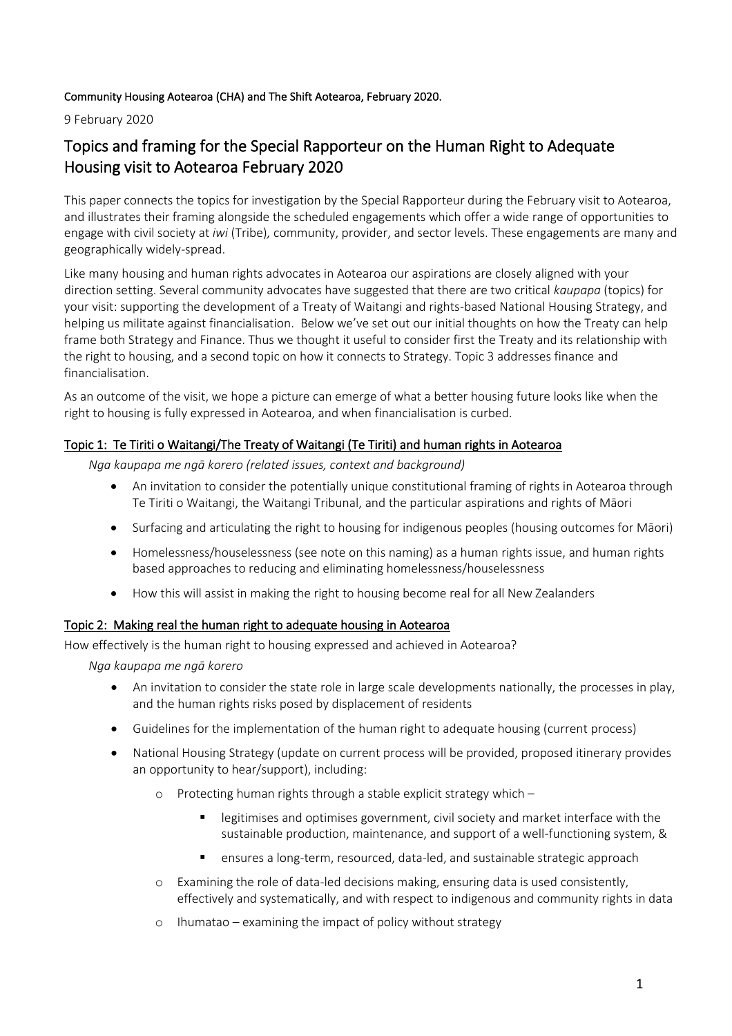## Community Housing Aotearoa (CHA) and The Shift Aotearoa, February 2020.

9 February 2020

# Topics and framing for the Special Rapporteur on the Human Right to Adequate Housing visit to Aotearoa February 2020

This paper connects the topics for investigation by the Special Rapporteur during the February visit to Aotearoa, and illustrates their framing alongside the scheduled engagements which offer a wide range of opportunities to engage with civil society at *iwi* (Tribe)*,* community, provider, and sector levels. These engagements are many and geographically widely-spread.

Like many housing and human rights advocates in Aotearoa our aspirations are closely aligned with your direction setting. Several community advocates have suggested that there are two critical *kaupapa* (topics) for your visit: supporting the development of a Treaty of Waitangi and rights-based National Housing Strategy, and helping us militate against financialisation. Below we've set out our initial thoughts on how the Treaty can help frame both Strategy and Finance. Thus we thought it useful to consider first the Treaty and its relationship with the right to housing, and a second topic on how it connects to Strategy. Topic 3 addresses finance and financialisation.

As an outcome of the visit, we hope a picture can emerge of what a better housing future looks like when the right to housing is fully expressed in Aotearoa, and when financialisation is curbed.

## Topic 1: Te Tiriti o Waitangi/The Treaty of Waitangi (Te Tiriti) and human rights in Aotearoa

*Nga kaupapa me ngā korero (related issues, context and background)*

- An invitation to consider the potentially unique constitutional framing of rights in Aotearoa through Te Tiriti o Waitangi, the Waitangi Tribunal, and the particular aspirations and rights of Māori
- Surfacing and articulating the right to housing for indigenous peoples (housing outcomes for Māori)
- Homelessness/houselessness (see note on this naming) as a human rights issue, and human rights based approaches to reducing and eliminating homelessness/houselessness
- How this will assist in making the right to housing become real for all New Zealanders

## Topic 2: Making real the human right to adequate housing in Aotearoa

How effectively is the human right to housing expressed and achieved in Aotearoa?

*Nga kaupapa me ngā korero*

- An invitation to consider the state role in large scale developments nationally, the processes in play, and the human rights risks posed by displacement of residents
- Guidelines for the implementation of the human right to adequate housing (current process)
- National Housing Strategy (update on current process will be provided, proposed itinerary provides an opportunity to hear/support), including:
	- o Protecting human rights through a stable explicit strategy which
		- legitimises and optimises government, civil society and market interface with the sustainable production, maintenance, and support of a well-functioning system, &
		- ensures a long-term, resourced, data-led, and sustainable strategic approach
	- o Examining the role of data-led decisions making, ensuring data is used consistently, effectively and systematically, and with respect to indigenous and community rights in data
	- o Ihumatao examining the impact of policy without strategy